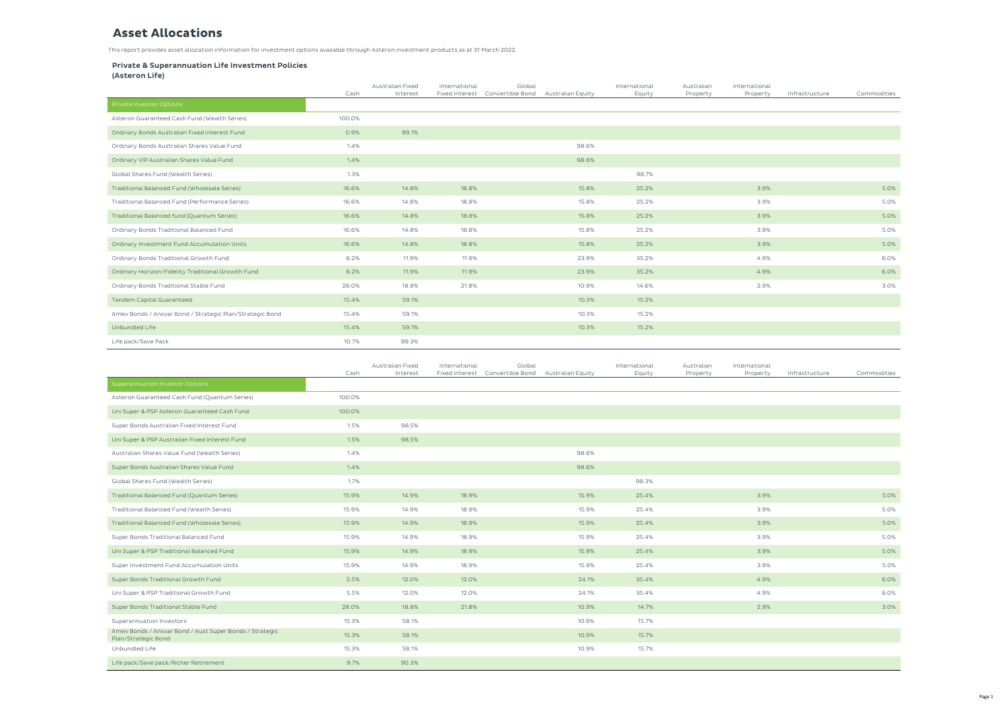## **Asset Allocations**

|                                                          | Cash   | Australian Fixed<br>Interest | International<br>Fixed Interest | Global<br>Convertible Bond | Australian Equity | International<br>Equity | Australian<br>Property | Internatio<br>Prope |
|----------------------------------------------------------|--------|------------------------------|---------------------------------|----------------------------|-------------------|-------------------------|------------------------|---------------------|
| Private Investor Options                                 |        |                              |                                 |                            |                   |                         |                        |                     |
| Asteron Guaranteed Cash Fund (Wealth Series)             | 100.0% |                              |                                 |                            |                   |                         |                        |                     |
| Ordinary Bonds Australian Fixed Interest Fund            | 0.9%   | 99.1%                        |                                 |                            |                   |                         |                        |                     |
| Ordinary Bonds Australian Shares Value Fund              | 1.4%   |                              |                                 |                            | 98.6%             |                         |                        |                     |
| Ordinary VIP Australian Shares Value Fund                | 1.4%   |                              |                                 |                            | 98.6%             |                         |                        |                     |
| Global Shares Fund (Wealth Series)                       | 1.3%   |                              |                                 |                            |                   | 98.7%                   |                        |                     |
| Traditional Balanced Fund (Wholesale Series)             | 16.6%  | 14.8%                        | 18.8%                           |                            | 15.8%             | 25.2%                   |                        | $\overline{3}$      |
| Traditional Balanced Fund (Performance Series)           | 16.6%  | 14.8%                        | 18.8%                           |                            | 15.8%             | 25.2%                   |                        | 3                   |
| Traditional Balanced fund (Quantum Series)               | 16.6%  | 14.8%                        | 18.8%                           |                            | 15.8%             | 25.2%                   |                        | $\overline{3}$      |
| Ordinary Bonds Traditional Balanced Fund                 | 16.6%  | 14.8%                        | 18.8%                           |                            | 15.8%             | 25.2%                   |                        | 3                   |
| Ordinary Investment Fund Accumulation Units              | 16.6%  | 14.8%                        | 18.8%                           |                            | 15.8%             | 25.2%                   |                        | $\overline{3}$      |
| Ordinary Bonds Traditional Growth Fund                   | 6.2%   | 11.9%                        | 11.9%                           |                            | 23.9%             | 35.2%                   |                        | $\Delta$            |
| Ordinary Horizon/Fidelity Traditional Growth Fund        | 6.2%   | 11.9%                        | 11.9%                           |                            | 23.9%             | 35.2%                   |                        | $\overline{4}$      |
| Ordinary Bonds Traditional Stable Fund                   | 28.0%  | 18.8%                        | 21.8%                           |                            | 10.9%             | 14.6%                   |                        | $\overline{2}$      |
| <b>Tandem Capital Guaranteed</b>                         | 15.4%  | 59.1%                        |                                 |                            | 10.3%             | 15.2%                   |                        |                     |
| Amev Bonds / Ansvar Bond / Strategic Plan/Strategic Bond | 15.4%  | 59.1%                        |                                 |                            | 10.3%             | 15.2%                   |                        |                     |
| Unbundled Life                                           | 15.4%  | 59.1%                        |                                 |                            | 10.3%             | 15.2%                   |                        |                     |
| Life pack/Save Pack                                      | 10.7%  | 89.3%                        |                                 |                            |                   |                         |                        |                     |

|                                                                                    | Cash           | Australian Fixed<br>Interest | International<br>Fixed Interest | Global<br>Convertible Bond<br>Australian Equity   |                | International<br>Equity | Australian<br>Property | International<br>Property | Infrastructure | Commodities  |
|------------------------------------------------------------------------------------|----------------|------------------------------|---------------------------------|---------------------------------------------------|----------------|-------------------------|------------------------|---------------------------|----------------|--------------|
| Private Investor Options                                                           |                |                              |                                 |                                                   |                |                         |                        |                           |                |              |
| Asteron Guaranteed Cash Fund (Wealth Series)                                       | 100.0%         |                              |                                 |                                                   |                |                         |                        |                           |                |              |
| Ordinary Bonds Australian Fixed Interest Fund                                      | 0.9%           | 99.1%                        |                                 |                                                   |                |                         |                        |                           |                |              |
| Ordinary Bonds Australian Shares Value Fund                                        | 1.4%           |                              |                                 |                                                   | 98.6%          |                         |                        |                           |                |              |
| Ordinary VIP Australian Shares Value Fund                                          | 1.4%           |                              |                                 |                                                   | 98.6%          |                         |                        |                           |                |              |
| Global Shares Fund (Wealth Series)                                                 | 1.3%           |                              |                                 |                                                   |                | 98.7%                   |                        |                           |                |              |
| Traditional Balanced Fund (Wholesale Series)                                       | 16.6%          | 14.8%                        | 18.8%                           |                                                   | 15.8%          | 25.2%                   |                        | 3.9%                      |                | 5.0%         |
| Traditional Balanced Fund (Performance Series)                                     | 16.6%          | 14.8%                        | 18.8%                           |                                                   | 15.8%          | 25.2%                   |                        | 3.9%                      |                | 5.0%         |
| Traditional Balanced fund (Quantum Series)                                         | 16.6%          | 14.8%                        | 18.8%                           |                                                   | 15.8%          | 25.2%                   |                        | 3.9%                      |                | 5.0%         |
| Ordinary Bonds Traditional Balanced Fund                                           | 16.6%          | 14.8%                        | 18.8%                           |                                                   | 15.8%          | 25.2%                   |                        | 3.9%                      |                | 5.0%         |
| Ordinary Investment Fund Accumulation Units                                        | 16.6%          | 14.8%                        | 18.8%                           |                                                   | 15.8%          | 25.2%                   |                        | 3.9%                      |                | 5.0%         |
| Ordinary Bonds Traditional Growth Fund                                             | 6.2%           | 11.9%                        | 11.9%                           |                                                   | 23.9%          | 35.2%                   |                        | 4.9%                      |                | 6.0%         |
| Ordinary Horizon/Fidelity Traditional Growth Fund                                  | 6.2%           | 11.9%                        | 11.9%                           |                                                   | 23.9%          | 35.2%                   |                        | 4.9%                      |                | 6.0%         |
| Ordinary Bonds Traditional Stable Fund                                             | 28.0%          | 18.8%                        | 21.8%                           |                                                   | 10.9%          | 14.6%                   |                        | 2.9%                      |                | 3.0%         |
| <b>Tandem Capital Guaranteed</b>                                                   | 15.4%          | 59.1%                        |                                 |                                                   | 10.3%          | 15.2%                   |                        |                           |                |              |
| Amev Bonds / Ansvar Bond / Strategic Plan/Strategic Bond                           | 15.4%          | 59.1%                        |                                 |                                                   | 10.3%          | 15.2%                   |                        |                           |                |              |
| Unbundled Life                                                                     | 15.4%          | 59.1%                        |                                 |                                                   | 10.3%          | 15.2%                   |                        |                           |                |              |
| Life pack/Save Pack                                                                | 10.7%          | 89.3%                        |                                 |                                                   |                |                         |                        |                           |                |              |
|                                                                                    |                | Australian Fixed             | International                   | Global                                            |                | International           | Australian             | International             |                |              |
| Superannuation Investor Options                                                    | Cash           | Interest                     |                                 | Fixed Interest Convertible Bond Australian Equity |                | Equity                  | Property               | Property                  | Infrastructure | Commodities  |
| Asteron Guaranteed Cash Fund (Quantum Series)                                      | 100.0%         |                              |                                 |                                                   |                |                         |                        |                           |                |              |
| Uni Super & PSP Asteron Guaranteed Cash Fund                                       |                |                              |                                 |                                                   |                |                         |                        |                           |                |              |
|                                                                                    |                |                              |                                 |                                                   |                |                         |                        |                           |                |              |
|                                                                                    | 100.0%         |                              |                                 |                                                   |                |                         |                        |                           |                |              |
| Super Bonds Australian Fixed Interest Fund                                         | 1.5%           | 98.5%                        |                                 |                                                   |                |                         |                        |                           |                |              |
| Uni Super & PSP Australian Fixed Interest Fund                                     | 1.5%           | 98.5%                        |                                 |                                                   |                |                         |                        |                           |                |              |
| Australian Shares Value Fund (Wealth Series)                                       | 1.4%           |                              |                                 |                                                   | 98.6%          |                         |                        |                           |                |              |
| Super Bonds Australian Shares Value Fund                                           | 1.4%           |                              |                                 |                                                   | 98.6%          |                         |                        |                           |                |              |
| Global Shares Fund (Wealth Series)                                                 | 1.7%           |                              |                                 |                                                   |                | 98.3%                   |                        |                           |                |              |
| Traditional Balanced Fund (Quantum Series)                                         | 15.9%          | 14.9%                        | 18.9%                           |                                                   | 15.9%          | 25.4%                   |                        | 3.9%                      |                | 5.0%         |
| Traditional Balanced Fund (Wealth Series)                                          | 15.9%          | 14.9%                        | 18.9%<br>18.9%                  |                                                   | 15.9%<br>15.9% | 25.4%                   |                        | 3.9%                      |                | 5.0%         |
| Traditional Balanced Fund (Wholesale Series)                                       | 15.9%<br>15.9% | 14.9%                        |                                 |                                                   | 15.9%          | 25.4%                   |                        | 3.9%                      |                | 5.0%         |
| Super Bonds Traditional Balanced Fund<br>Uni Super & PSP Traditional Balanced Fund |                | 14.9%                        | 18.9%                           |                                                   |                | 25.4%                   |                        | 3.9%                      |                | 5.0%         |
| Super Investment Fund Accumulation Units                                           | 15.9%<br>15.9% | 14.9%<br>14.9%               | 18.9%<br>18.9%                  |                                                   | 15.9%<br>15.9% | 25.4%<br>25.4%          |                        | 3.9%<br>3.9%              |                | 5.0%<br>5.0% |
| Super Bonds Traditional Growth Fund                                                | 5.5%           | 12.0%                        | 12.0%                           |                                                   | 24.1%          | 35.4%                   |                        | 4.9%                      |                |              |
| Uni Super & PSP Traditional Growth Fund                                            | 5.5%           | 12.0%                        | 12.0%                           |                                                   | 24.1%          | 35.4%                   |                        | 4.9%                      |                | 6.0%<br>6.0% |
| Super Bonds Traditional Stable Fund                                                | 28.0%          | 18.8%                        | 21.8%                           |                                                   | 10.9%          | 14.7%                   |                        | 2.9%                      |                | 3.0%         |
| Superannuation Investors                                                           | 15.3%          | 58.1%                        |                                 |                                                   | 10.9%          | 15.7%                   |                        |                           |                |              |
| Amev Bonds / Ansvar Bond / Aust Super Bonds / Strategic                            | 15.3%          | 58.1%                        |                                 |                                                   | 10.9%          | 15.7%                   |                        |                           |                |              |
| Plan/Strategic Bond<br>Unbundled Life                                              | 15.3%          | 58.1%                        |                                 |                                                   | 10.9%          | 15.7%                   |                        |                           |                |              |

## Private & Superannuation Life Investment Policies

(Asteron Life)

This report provides asset allocation information for investment options available through Asteron investment products as at 31 March 2022.